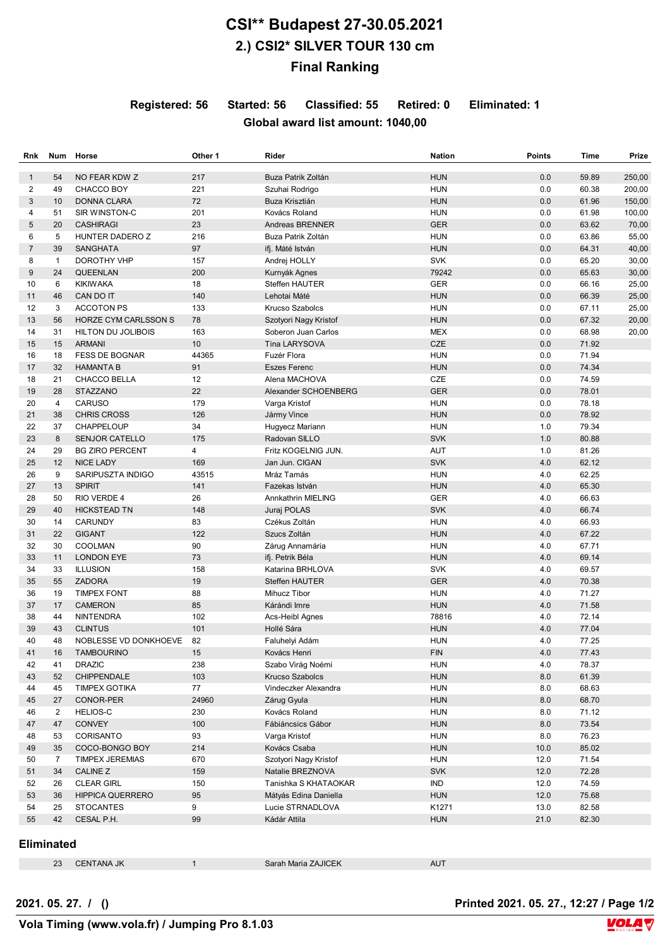## **CSI\*\* Budapest 27-30.05.2021 2.) CSI2\* SILVER TOUR 130 cm Final Ranking**

**Registered: 56 Started: 56 Classified: 55 Retired: 0 Eliminated: 1**

## **Global award list amount: 1040,00**

| Rnk          | Num               | Horse                       | Other 1 | Rider                  | <b>Nation</b> | <b>Points</b> | Time  | Prize  |
|--------------|-------------------|-----------------------------|---------|------------------------|---------------|---------------|-------|--------|
| $\mathbf{1}$ | 54                | NO FEAR KDW Z               | 217     | Buza Patrik Zoltán     | <b>HUN</b>    | 0.0           | 59.89 | 250,00 |
| 2            | 49                | CHACCO BOY                  | 221     | Szuhai Rodrigo         | <b>HUN</b>    | 0.0           | 60.38 | 200,00 |
| 3            | 10                | <b>DONNA CLARA</b>          | 72      | Buza Krisztián         | <b>HUN</b>    | 0.0           | 61.96 | 150,00 |
| 4            | 51                | SIR WINSTON-C               | 201     | Kovács Roland          | <b>HUN</b>    | 0.0           | 61.98 | 100,00 |
| 5            | 20                | <b>CASHIRAGI</b>            | 23      | Andreas BRENNER        | <b>GER</b>    | 0.0           | 63.62 | 70,00  |
| 6            | 5                 | HUNTER DADERO Z             | 216     | Buza Patrik Zoltán     | <b>HUN</b>    | 0.0           | 63.86 | 55,00  |
| 7            | 39                | SANGHATA                    | 97      | ifj. Máté István       | <b>HUN</b>    | 0.0           | 64.31 | 40,00  |
| 8            | $\mathbf{1}$      | DOROTHY VHP                 | 157     | Andrej HOLLY           | <b>SVK</b>    | 0.0           | 65.20 | 30,00  |
| 9            | 24                | <b>QUEENLAN</b>             | 200     | Kurnyák Agnes          | 79242         | 0.0           | 65.63 | 30,00  |
| 10           | 6                 | <b>KIKIWAKA</b>             | 18      | Steffen HAUTER         | <b>GER</b>    | 0.0           | 66.16 | 25,00  |
| 11           | 46                | CAN DO IT                   | 140     | Lehotai Máté           | <b>HUN</b>    | 0.0           | 66.39 | 25,00  |
| 12           | 3                 | <b>ACCOTON PS</b>           | 133     | Krucso Szabolcs        | <b>HUN</b>    | 0.0           | 67.11 | 25,00  |
| 13           | 56                | <b>HORZE CYM CARLSSON S</b> | 78      | Szotyori Nagy Kristof  | <b>HUN</b>    | 0.0           | 67.32 | 20,00  |
| 14           | 31                | <b>HILTON DU JOLIBOIS</b>   | 163     | Soberon Juan Carlos    | <b>MEX</b>    | 0.0           | 68.98 | 20,00  |
| 15           | 15                | <b>ARMANI</b>               | 10      | <b>Tina LARYSOVA</b>   | <b>CZE</b>    | 0.0           | 71.92 |        |
| 16           | 18                | <b>FESS DE BOGNAR</b>       | 44365   | Fuzér Flora            | <b>HUN</b>    | 0.0           | 71.94 |        |
| 17           | 32                | <b>HAMANTA B</b>            | 91      | <b>Eszes Ferenc</b>    | <b>HUN</b>    | 0.0           | 74.34 |        |
|              |                   |                             |         |                        |               |               |       |        |
| 18           | 21                | CHACCO BELLA                | 12      | Alena MACHOVA          | CZE           | 0.0           | 74.59 |        |
| 19           | 28                | <b>STAZZANO</b>             | 22      | Alexander SCHOENBERG   | <b>GER</b>    | 0.0           | 78.01 |        |
| 20           | 4                 | <b>CARUSO</b>               | 179     | Varga Kristof          | <b>HUN</b>    | 0.0           | 78.18 |        |
| 21           | 38                | <b>CHRIS CROSS</b>          | 126     | Jármy Vince            | <b>HUN</b>    | 0.0           | 78.92 |        |
| 22           | 37                | CHAPPELOUP                  | 34      | Hugyecz Mariann        | <b>HUN</b>    | 1.0           | 79.34 |        |
| 23           | 8                 | <b>SENJOR CATELLO</b>       | 175     | Radovan SILLO          | <b>SVK</b>    | 1.0           | 80.88 |        |
| 24           | 29                | <b>BG ZIRO PERCENT</b>      | 4       | Fritz KOGELNIG JUN.    | <b>AUT</b>    | 1.0           | 81.26 |        |
| 25           | 12                | <b>NICE LADY</b>            | 169     | Jan Jun. CIGAN         | <b>SVK</b>    | 4.0           | 62.12 |        |
| 26           | 9                 | SARIPUSZTA INDIGO           | 43515   | Mráz Tamás             | <b>HUN</b>    | 4.0           | 62.25 |        |
| 27           | 13                | <b>SPIRIT</b>               | 141     | Fazekas István         | <b>HUN</b>    | 4.0           | 65.30 |        |
| 28           | 50                | RIO VERDE 4                 | 26      | Annkathrin MIELING     | <b>GER</b>    | 4.0           | 66.63 |        |
| 29           | 40                | <b>HICKSTEAD TN</b>         | 148     | Juraj POLAS            | <b>SVK</b>    | 4.0           | 66.74 |        |
| 30           | 14                | CARUNDY                     | 83      | Czékus Zoltán          | <b>HUN</b>    | 4.0           | 66.93 |        |
| 31           | 22                | <b>GIGANT</b>               | 122     | Szucs Zoltán           | <b>HUN</b>    | 4.0           | 67.22 |        |
| 32           | 30                | COOLMAN                     | 90      | Zárug Annamária        | <b>HUN</b>    | 4.0           | 67.71 |        |
| 33           | 11                | <b>LONDON EYE</b>           | 73      | ifj. Petrik Béla       | <b>HUN</b>    | 4.0           | 69.14 |        |
| 34           | 33                | <b>ILLUSION</b>             | 158     | Katarina BRHLOVA       | <b>SVK</b>    | 4.0           | 69.57 |        |
| 35           | 55                | ZADORA                      | 19      | <b>Steffen HAUTER</b>  | <b>GER</b>    | 4.0           | 70.38 |        |
| 36           | 19                | <b>TIMPEX FONT</b>          | 88      | Mihucz Tibor           | <b>HUN</b>    | 4.0           | 71.27 |        |
| 37           | 17                | <b>CAMERON</b>              | 85      | Kárándi Imre           | <b>HUN</b>    | 4.0           | 71.58 |        |
| 38           | 44                | <b>NINTENDRA</b>            | 102     | Acs-Heibl Agnes        | 78816         | 4.0           | 72.14 |        |
| 39           | 43                |                             | 101     |                        | <b>HUN</b>    | 4.0           | 77.04 |        |
|              |                   | <b>CLINTUS</b>              | 82      | Hollé Sára             | <b>HUN</b>    |               |       |        |
| 40           | 48                | NOBLESSE VD DONKHOEVE       |         | Faluhelyi Adám         |               | 4.0           | 77.25 |        |
| 41           | 16                | TAMBOURINO                  | 15      | Kovács Henri           | <b>FIN</b>    | 4.0           | 77.43 |        |
| 42           | 41                | <b>DRAZIC</b>               | 238     | Szabo Virág Noémi      | <b>HUN</b>    | 4.0           | 78.37 |        |
| 43           | 52                | CHIPPENDALE                 | 103     | <b>Krucso Szabolcs</b> | <b>HUN</b>    | 8.0           | 61.39 |        |
| 44           | 45                | <b>TIMPEX GOTIKA</b>        | 77      | Vindeczker Alexandra   | <b>HUN</b>    | 8.0           | 68.63 |        |
| 45           | 27                | CONOR-PER                   | 24960   | Zárug Gyula            | <b>HUN</b>    | 8.0           | 68.70 |        |
| 46           | $\overline{2}$    | <b>HELIOS-C</b>             | 230     | Kovács Roland          | <b>HUN</b>    | 8.0           | 71.12 |        |
| 47           | 47                | <b>CONVEY</b>               | 100     | Fábiáncsics Gábor      | <b>HUN</b>    | 8.0           | 73.54 |        |
| 48           | 53                | CORISANTO                   | 93      | Varga Kristof          | <b>HUN</b>    | 8.0           | 76.23 |        |
| 49           | 35                | COCO-BONGO BOY              | 214     | Kovács Csaba           | <b>HUN</b>    | 10.0          | 85.02 |        |
| 50           | $\overline{7}$    | <b>TIMPEX JEREMIAS</b>      | 670     | Szotyori Nagy Kristof  | <b>HUN</b>    | 12.0          | 71.54 |        |
| 51           | 34                | <b>CALINE Z</b>             | 159     | Natalie BREZNOVA       | <b>SVK</b>    | 12.0          | 72.28 |        |
| 52           | 26                | <b>CLEAR GIRL</b>           | 150     | Tanishka S KHATAOKAR   | IND           | 12.0          | 74.59 |        |
| 53           | 36                | <b>HIPPICA QUERRERO</b>     | 95      | Mátyás Edina Daniella  | <b>HUN</b>    | 12.0          | 75.68 |        |
| 54           | 25                | <b>STOCANTES</b>            | 9       | Lucie STRNADLOVA       | K1271         | 13.0          | 82.58 |        |
| 55           | 42                | CESAL P.H.                  | 99      | Kádár Attila           | <b>HUN</b>    | 21.0          | 82.30 |        |
|              | <b>Eliminated</b> |                             |         |                        |               |               |       |        |

23 CENTANA JK 1 Sarah Maria ZAJICEK AUT

**2021. 05. 27. / () Printed 2021. 05. 27., 12:27 / Page 1/2**